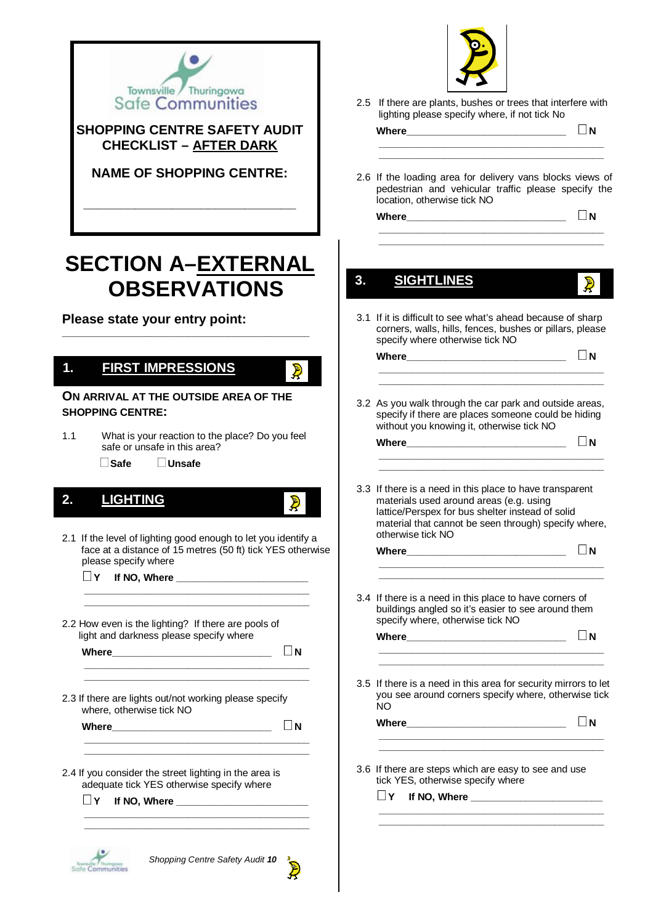

#### **SHOPPING CENTRE SAFETY AUDIT CHECKLIST – AFTER DARK**

#### **NAME OF SHOPPING CENTRE:**

**\_\_\_\_\_\_\_\_\_\_\_\_\_\_\_\_\_\_\_\_\_\_\_\_\_\_\_\_\_** 

# **SECTION A–EXTERNAL 2OBSERVATIONS**

**\_\_\_\_\_\_\_\_\_\_\_\_\_\_\_\_\_\_\_\_\_\_\_\_\_\_\_\_\_\_\_\_\_\_\_\_\_\_\_\_\_\_\_\_\_** 

**Please state your entry point:** 

#### **1. FIRST IMPRESSIONS 1.**

#### **ON ARRIVAL AT THE OUTSIDE AREA OF THE SHOPPING CENTRE:**

- 1.1 What is your reaction to the place? Do you feel safe or unsafe in this area?
	- **Safe Unsafe**

# **2. LIGHTING 2. LIGHTING**

#### 2.1 If the level of lighting good enough to let you identify a face at a distance of 15 metres (50 ft) tick YES otherwise please specify where

 **\_\_\_\_\_\_\_\_\_\_\_\_\_\_\_\_\_\_\_\_\_\_\_\_\_\_\_\_\_\_\_\_\_\_\_\_\_\_\_\_\_ \_\_\_\_\_\_\_\_\_\_\_\_\_\_\_\_\_\_\_\_\_\_\_\_\_\_\_\_\_\_\_\_\_\_\_\_\_\_\_\_\_** 

 **\_\_\_\_\_\_\_\_\_\_\_\_\_\_\_\_\_\_\_\_\_\_\_\_\_\_\_\_\_\_\_\_\_\_\_\_\_\_\_\_\_ \_\_\_\_\_\_\_\_\_\_\_\_\_\_\_\_\_\_\_\_\_\_\_\_\_\_\_\_\_\_\_\_\_\_\_\_\_\_\_\_\_** 

 **\_\_\_\_\_\_\_\_\_\_\_\_\_\_\_\_\_\_\_\_\_\_\_\_\_\_\_\_\_\_\_\_\_\_\_\_\_\_\_\_\_** 

 **\_\_\_\_\_\_\_\_\_\_\_\_\_\_\_\_\_\_\_\_\_\_\_\_\_\_\_\_\_\_\_\_\_\_\_\_\_\_\_\_\_ \_\_\_\_\_\_\_\_\_\_\_\_\_\_\_\_\_\_\_\_\_\_\_\_\_\_\_\_\_\_\_\_\_\_\_\_\_\_\_\_\_** 

- **Y If NO, Where \_\_\_\_\_\_\_\_\_\_\_\_\_\_\_\_\_\_\_\_\_\_\_\_**
- 2.2 How even is the lighting? If there are pools of light and darkness please specify where

 **Where\_\_\_\_\_\_\_\_\_\_\_\_\_\_\_\_\_\_\_\_\_\_\_\_\_\_\_\_\_ <sup>N</sup>**

 $\mathbf{R}$ 

 $\mathbf{R}$ 

- 2.3 If there are lights out/not working please specify where, otherwise tick NO
	- **Where**  $\Box$  **N**
- **\_\_\_\_\_\_\_\_\_\_\_\_\_\_\_\_\_\_\_\_\_\_\_\_\_\_\_\_\_\_\_\_\_\_\_\_\_\_\_\_\_**
- 2.4 If you consider the street lighting in the area is adequate tick YES otherwise specify where
	- $\Box$  Y If NO, Where





2.5 If there are plants, bushes or trees that interfere with lighting please specify where, if not tick No

| wner<br>inere |  |
|---------------|--|
|               |  |
|               |  |

2.6 If the loading area for delivery vans blocks views of pedestrian and vehicular traffic please specify the location, otherwise tick NO

 **\_\_\_\_\_\_\_\_\_\_\_\_\_\_\_\_\_\_\_\_\_\_\_\_\_\_\_\_\_\_\_\_\_\_\_\_\_\_\_\_\_** 

| <b>Where</b> |  |
|--------------|--|
|              |  |
|              |  |

 **\_\_\_\_\_\_\_\_\_\_\_\_\_\_\_\_\_\_\_\_\_\_\_\_\_\_\_\_\_\_\_\_\_\_\_\_\_\_\_\_\_** 

#### **3. SIGHTLINES 3. SIGHTLINES**

- 
- 3.1 If it is difficult to see what's ahead because of sharp corners, walls, hills, fences, bushes or pillars, please specify where otherwise tick NO

 **\_\_\_\_\_\_\_\_\_\_\_\_\_\_\_\_\_\_\_\_\_\_\_\_\_\_\_\_\_\_\_\_\_\_\_\_\_\_\_\_\_ \_\_\_\_\_\_\_\_\_\_\_\_\_\_\_\_\_\_\_\_\_\_\_\_\_\_\_\_\_\_\_\_\_\_\_\_\_\_\_\_\_** 

 **Where\_\_\_\_\_\_\_\_\_\_\_\_\_\_\_\_\_\_\_\_\_\_\_\_\_\_\_\_\_ <sup>N</sup>**

3.2 As you walk through the car park and outside areas, specify if there are places someone could be hiding without you knowing it, otherwise tick NO

| <b>Where</b> |  |
|--------------|--|
|              |  |
|              |  |

 **\_\_\_\_\_\_\_\_\_\_\_\_\_\_\_\_\_\_\_\_\_\_\_\_\_\_\_\_\_\_\_\_\_\_\_\_\_\_\_\_\_** 

3.3 If there is a need in this place to have transparent materials used around areas (e.g. using lattice/Perspex for bus shelter instead of solid material that cannot be seen through) specify where, otherwise tick NO

Where  $\square$  **N \_\_\_\_\_\_\_\_\_\_\_\_\_\_\_\_\_\_\_\_\_\_\_\_\_\_\_\_\_\_\_\_\_\_\_\_\_\_\_\_\_ \_\_\_\_\_\_\_\_\_\_\_\_\_\_\_\_\_\_\_\_\_\_\_\_\_\_\_\_\_\_\_\_\_\_\_\_\_\_\_\_\_**  3.4 If there is a need in this place to have corners of

buildings angled so it's easier to see around them specify where, otherwise tick NO

| <b>Where</b> |  |
|--------------|--|
|              |  |
|              |  |

3.5 If there is a need in this area for security mirrors to let you see around corners specify where, otherwise tick NO

 **\_\_\_\_\_\_\_\_\_\_\_\_\_\_\_\_\_\_\_\_\_\_\_\_\_\_\_\_\_\_\_\_\_\_\_\_\_\_\_\_\_ \_\_\_\_\_\_\_\_\_\_\_\_\_\_\_\_\_\_\_\_\_\_\_\_\_\_\_\_\_\_\_\_\_\_\_\_\_\_\_\_\_** 

 **\_\_\_\_\_\_\_\_\_\_\_\_\_\_\_\_\_\_\_\_\_\_\_\_\_\_\_\_\_\_\_\_\_\_\_\_\_\_\_\_\_** 

 **\_\_\_\_\_\_\_\_\_\_\_\_\_\_\_\_\_\_\_\_\_\_\_\_\_\_\_\_\_\_\_\_\_\_\_\_\_\_\_\_\_** 

 **Where\_\_\_\_\_\_\_\_\_\_\_\_\_\_\_\_\_\_\_\_\_\_\_\_\_\_\_\_\_ <sup>N</sup>**

3.6 If there are steps which are easy to see and use tick YES, otherwise specify where

 $\Box$  Y If NO, Where  $\_\_\_\_\_\_\_\_\$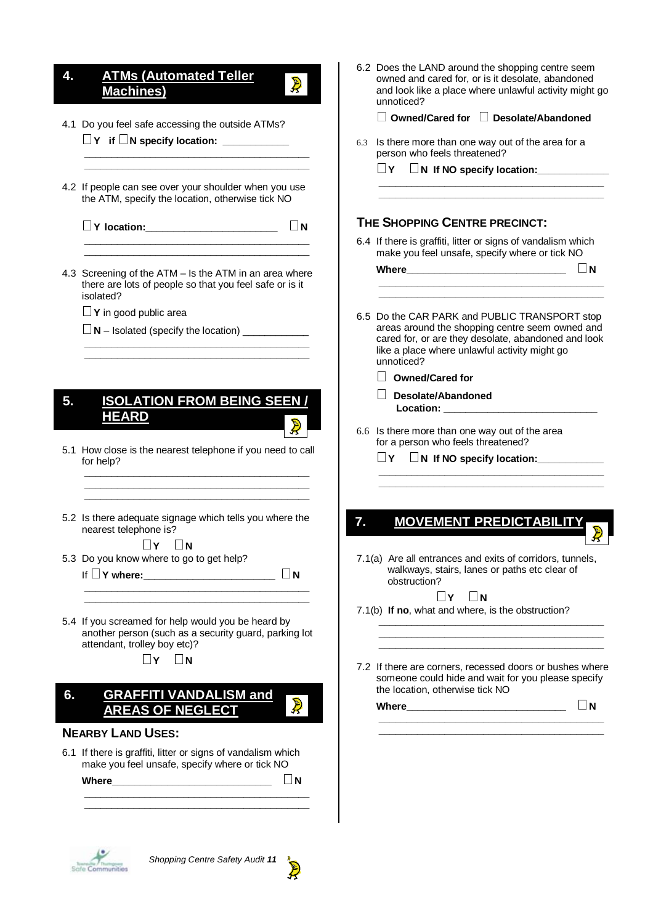#### **4. ATMs (Automated Teller Machines)**

- 4.1 Do you feel safe accessing the outside ATMs?  $\Box$  Y if  $\Box$  N specify location:
- 4.2 If people can see over your shoulder when you use the ATM, specify the location, otherwise tick NO

 **\_\_\_\_\_\_\_\_\_\_\_\_\_\_\_\_\_\_\_\_\_\_\_\_\_\_\_\_\_\_\_\_\_\_\_\_\_\_\_\_\_ \_\_\_\_\_\_\_\_\_\_\_\_\_\_\_\_\_\_\_\_\_\_\_\_\_\_\_\_\_\_\_\_\_\_\_\_\_\_\_\_\_** 

- **Y location:\_\_\_\_\_\_\_\_\_\_\_\_\_\_\_\_\_\_\_\_\_\_\_\_ <sup>N</sup>**
- 4.3 Screening of the ATM Is the ATM in an area where there are lots of people so that you feel safe or is it isolated?

 **\_\_\_\_\_\_\_\_\_\_\_\_\_\_\_\_\_\_\_\_\_\_\_\_\_\_\_\_\_\_\_\_\_\_\_\_\_\_\_\_\_** 

 $\frac{1}{\sqrt{2}}$  ,  $\frac{1}{\sqrt{2}}$  ,  $\frac{1}{\sqrt{2}}$  ,  $\frac{1}{\sqrt{2}}$  ,  $\frac{1}{\sqrt{2}}$  ,  $\frac{1}{\sqrt{2}}$  ,  $\frac{1}{\sqrt{2}}$  ,  $\frac{1}{\sqrt{2}}$  ,  $\frac{1}{\sqrt{2}}$  ,  $\frac{1}{\sqrt{2}}$  ,  $\frac{1}{\sqrt{2}}$  ,  $\frac{1}{\sqrt{2}}$  ,  $\frac{1}{\sqrt{2}}$  ,  $\frac{1}{\sqrt{2}}$  ,  $\frac{1}{\sqrt{2}}$  $\frac{1}{\sqrt{2}}$  ,  $\frac{1}{\sqrt{2}}$  ,  $\frac{1}{\sqrt{2}}$  ,  $\frac{1}{\sqrt{2}}$  ,  $\frac{1}{\sqrt{2}}$  ,  $\frac{1}{\sqrt{2}}$  ,  $\frac{1}{\sqrt{2}}$  ,  $\frac{1}{\sqrt{2}}$  ,  $\frac{1}{\sqrt{2}}$  ,  $\frac{1}{\sqrt{2}}$  ,  $\frac{1}{\sqrt{2}}$  ,  $\frac{1}{\sqrt{2}}$  ,  $\frac{1}{\sqrt{2}}$  ,  $\frac{1}{\sqrt{2}}$  ,  $\frac{1}{\sqrt{2}}$ 

- **<sup>Y</sup>** in good public area
- $\Box$  **N** Isolated (specify the location)  $\Box$

#### **4. ISOLATION FROM BEING SEEN / 5. ISOLATION FROM BEING SEEN / HEARD HEARD**

5.1 How close is the nearest telephone if you need to call for help?  **\_\_\_\_\_\_\_\_\_\_\_\_\_\_\_\_\_\_\_\_\_\_\_\_\_\_\_\_\_\_\_\_\_\_\_\_\_\_\_\_\_** 

 **\_\_\_\_\_\_\_\_\_\_\_\_\_\_\_\_\_\_\_\_\_\_\_\_\_\_\_\_\_\_\_\_\_\_\_\_\_\_\_\_\_ \_\_\_\_\_\_\_\_\_\_\_\_\_\_\_\_\_\_\_\_\_\_\_\_\_\_\_\_\_\_\_\_\_\_\_\_\_\_\_\_\_** 

5.2 Is there adequate signage which tells you where the nearest telephone is?

- **N**∴5.3 Do you know where to go to get help?
	- If **Y where:\_\_\_\_\_\_\_\_\_\_\_\_\_\_\_\_\_\_\_\_\_\_\_\_ <sup>N</sup>**
		-

 $\mathbf{D}$ 

5.4 If you screamed for help would you be heard by another person (such as a security guard, parking lot attendant, trolley boy etc)?

 **\_\_\_\_\_\_\_\_\_\_\_\_\_\_\_\_\_\_\_\_\_\_\_\_\_\_\_\_\_\_\_\_\_\_\_\_\_\_\_\_\_ \_\_\_\_\_\_\_\_\_\_\_\_\_\_\_\_\_\_\_\_\_\_\_\_\_\_\_\_\_\_\_\_\_\_\_\_\_\_\_\_\_** 

 $\Box$ **Y**  $\Box$ **N** 

**5. GRAFFITI, VANDALISM and 6. GRAFFITI VANDALISM and AREAS OF NEGLECT AREAS OF NEGLECT**

#### **NEARBY LAND USES:**

6.1 If there is graffiti, litter or signs of vandalism which make you feel unsafe, specify where or tick NO

 **\_\_\_\_\_\_\_\_\_\_\_\_\_\_\_\_\_\_\_\_\_\_\_\_\_\_\_\_\_\_\_\_\_\_\_\_\_\_\_\_\_** 

**Where\_\_\_\_\_\_\_\_\_\_\_\_\_\_\_\_\_\_\_\_\_\_\_\_\_\_\_\_\_ <sup>N</sup>**

|     | 6.2 Does the LAND around the shopping centre seem<br>owned and cared for, or is it desolate, abandoned<br>and look like a place where unlawful activity might go<br>unnoticed?                                         |
|-----|------------------------------------------------------------------------------------------------------------------------------------------------------------------------------------------------------------------------|
|     | Owned/Cared for   Desolate/Abandoned                                                                                                                                                                                   |
| 6.3 | Is there more than one way out of the area for a<br>person who feels threatened?                                                                                                                                       |
|     | l IY<br>$\Box$ N If NO specify location:                                                                                                                                                                               |
|     | THE SHOPPING CENTRE PRECINCT:                                                                                                                                                                                          |
|     | 6.4 If there is graffiti, litter or signs of vandalism which<br>make you feel unsafe, specify where or tick NO                                                                                                         |
|     | $\blacksquare$<br>Where $\_\_$                                                                                                                                                                                         |
|     | 6.5 Do the CAR PARK and PUBLIC TRANSPORT stop<br>areas around the shopping centre seem owned and<br>cared for, or are they desolate, abandoned and look<br>like a place where unlawful activity might go<br>unnoticed? |
|     | <b>Owned/Cared for</b>                                                                                                                                                                                                 |
|     | Desolate/Abandoned<br>Location: <b>All According to the Street</b>                                                                                                                                                     |
|     | 6.6 Is there more than one way out of the area<br>for a person who feels threatened?                                                                                                                                   |
|     | $\Box$ Y                                                                                                                                                                                                               |
|     |                                                                                                                                                                                                                        |
|     | <b>MOVEMENT PREDICTABILI</b>                                                                                                                                                                                           |
|     | 7.1(a) Are all entrances and exits of corridors, tunnels,<br>walkways, stairs, lanes or paths etc clear of<br>obstruction?                                                                                             |
|     | Y     <mark>N</mark><br>7.1(b) If no, what and where, is the obstruction?                                                                                                                                              |
|     |                                                                                                                                                                                                                        |
|     | 7.2 If there are corners, recessed doors or bushes where                                                                                                                                                               |

someone could hide and wait for you please specify the location, otherwise tick NO

 **\_\_\_\_\_\_\_\_\_\_\_\_\_\_\_\_\_\_\_\_\_\_\_\_\_\_\_\_\_\_\_\_\_\_\_\_\_\_\_\_\_** 

**Where\_\_\_\_\_\_\_\_\_\_\_\_\_\_\_\_\_\_\_\_\_\_\_\_\_\_\_\_\_ <sup>N</sup>**

 $50$ 

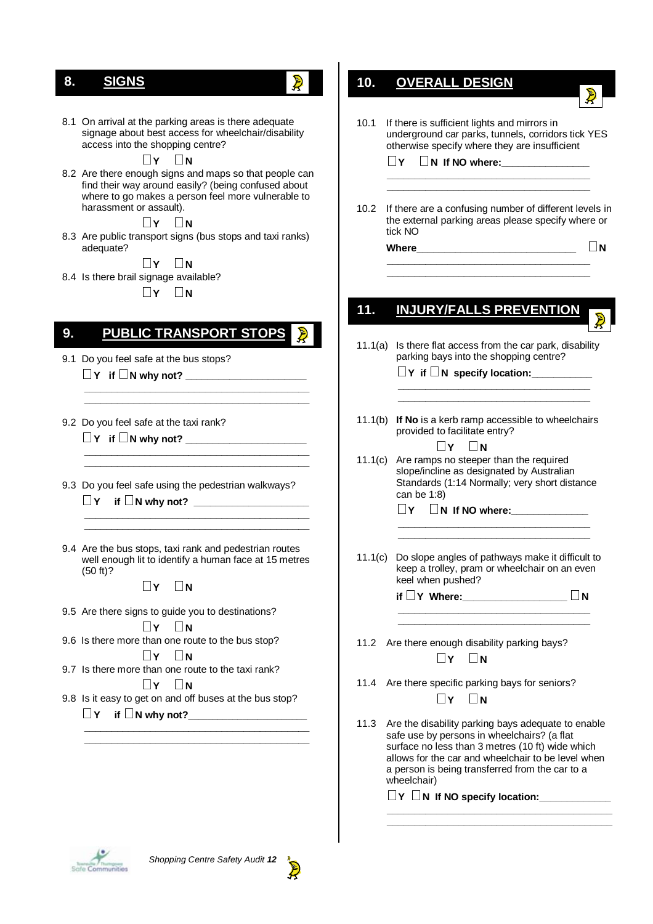## **7. SIGNS 8. SIGNS**

- $\mathbf{D}$
- 8.1 On arrival at the parking areas is there adequate signage about best access for wheelchair/disability access into the shopping centre?

**N E** I **Y N**<br>8.2 Are there enough signs and maps so that people can find their way around easily? (being confused about where to go makes a person feel more vulnerable to harassment or assault).

**N EXECTS IV** DN<br>8.3 Are public transport signs (bus stops and taxi ranks) adequate?

**N**∴8.4 Is there brail signage available?

 $\Box$ **Y**  $\Box$ **N** 

#### **8. PUBLIC TRANSPORT STOPS 9. PUBLIC TRANSPORT STOPS**

 **\_\_\_\_\_\_\_\_\_\_\_\_\_\_\_\_\_\_\_\_\_\_\_\_\_\_\_\_\_\_\_\_\_\_\_\_\_\_\_\_\_ \_\_\_\_\_\_\_\_\_\_\_\_\_\_\_\_\_\_\_\_\_\_\_\_\_\_\_\_\_\_\_\_\_\_\_\_\_\_\_\_\_** 

 **\_\_\_\_\_\_\_\_\_\_\_\_\_\_\_\_\_\_\_\_\_\_\_\_\_\_\_\_\_\_\_\_\_\_\_\_\_\_\_\_\_ \_\_\_\_\_\_\_\_\_\_\_\_\_\_\_\_\_\_\_\_\_\_\_\_\_\_\_\_\_\_\_\_\_\_\_\_\_\_\_\_\_** 

- 9.1 Do you feel safe at the bus stops? ■ Y if ■ N why not? ■ <u>Window</u>
- 9.2 Do you feel safe at the taxi rank?  $\Box$  Y if  $\Box$  N why not?
- 9.3 Do you feel safe using the pedestrian walkways? **Y if N why not? \_\_\_\_\_\_\_\_\_\_\_\_\_\_\_\_\_\_\_\_\_**
- 9.4 Are the bus stops, taxi rank and pedestrian routes well enough lit to identify a human face at 15 metres (50 ft)?

 **\_\_\_\_\_\_\_\_\_\_\_\_\_\_\_\_\_\_\_\_\_\_\_\_\_\_\_\_\_\_\_\_\_\_\_\_\_\_\_\_\_ \_\_\_\_\_\_\_\_\_\_\_\_\_\_\_\_\_\_\_\_\_\_\_\_\_\_\_\_\_\_\_\_\_\_\_\_\_\_\_\_\_** 

 $\Box$ **Y**  $\Box$ **N** 

- 9.5 Are there signs to guide you to destinations?
	-
- **N**∴N
9.6 Is there more than one route to the bus stop?
- **N**∴9.7 Is there more than one route to the taxi rank?
	-
- $\Box Y \quad \Box N$ <br>9.8 Is it easy to get on and off buses at the bus stop?  $\Box$  Y if  $\Box$  N why not?

 **\_\_\_\_\_\_\_\_\_\_\_\_\_\_\_\_\_\_\_\_\_\_\_\_\_\_\_\_\_\_\_\_\_\_\_\_\_\_\_\_\_ \_\_\_\_\_\_\_\_\_\_\_\_\_\_\_\_\_\_\_\_\_\_\_\_\_\_\_\_\_\_\_\_\_\_\_\_\_\_\_\_\_** 

| 10.               | <b>OVERALL DESIGN</b>                                                                                                                                                                                |
|-------------------|------------------------------------------------------------------------------------------------------------------------------------------------------------------------------------------------------|
|                   |                                                                                                                                                                                                      |
| 10.1              | If there is sufficient lights and mirrors in<br>underground car parks, tunnels, corridors tick YES<br>otherwise specify where they are insufficient<br>l I¥<br>$\Box$ N If NO where: $\_\_\_\_\_\_\$ |
|                   |                                                                                                                                                                                                      |
| 10.2 <sub>1</sub> | If there are a confusing number of different levels in<br>the external parking areas please specify where or<br>tick NO                                                                              |
|                   | İΝ<br>Where                                                                                                                                                                                          |
|                   |                                                                                                                                                                                                      |
|                   |                                                                                                                                                                                                      |
| 11.               | <b>INJURY/FALLS PREVENTION</b>                                                                                                                                                                       |
| 11.1(a)           | Is there flat access from the car park, disability<br>parking bays into the shopping centre?                                                                                                         |
|                   | $\Box$ Y if $\Box$ N specify location:                                                                                                                                                               |
| 11.1(b)           | If No is a kerb ramp accessible to wheelchairs<br>provided to facilitate entry?                                                                                                                      |
| 11.1(c)           | N<br>∣∣Y<br>Are ramps no steeper than the required<br>slope/incline as designated by Australian<br>Standards (1:14 Normally; very short distance<br>can be 1:8)                                      |
|                   | $\sqcap$ Y<br>$\Box$ N If NO where:                                                                                                                                                                  |
|                   |                                                                                                                                                                                                      |
| 11.1(c)           | Do slope angles of pathways make it difficult to<br>keep a trolley, pram or wheelchair on an even<br>keel when pushed?                                                                               |
|                   | if $\Box$ Y Where:<br>$\overline{\mathsf{N}}$                                                                                                                                                        |
|                   |                                                                                                                                                                                                      |
|                   | 11.2 Are there enough disability parking bays?<br>$\Box$ Y $\Box$ N                                                                                                                                  |
|                   | 11.4 Are there specific parking bays for seniors?<br>$\mathbf{Y}$ N                                                                                                                                  |
| 11.3              | Are the disability parking bays adequate to enable<br>safe use by persons in wheelchairs? (a flat                                                                                                    |

allows for the car and wheelchair to be level when a person is being transferred from the car to a wheelchair)

 **\_\_\_\_\_\_\_\_\_\_\_\_\_\_\_\_\_\_\_\_\_\_\_\_\_\_\_\_\_\_\_\_\_\_\_\_\_\_\_\_\_ \_\_\_\_\_\_\_\_\_\_\_\_\_\_\_\_\_\_\_\_\_\_\_\_\_\_\_\_\_\_\_\_\_\_\_\_\_\_\_\_\_** 

surface no less than 3 metres (10 ft) wide which

**<sup>Y</sup>N If NO specify location:\_\_\_\_\_\_\_\_\_\_\_\_\_**